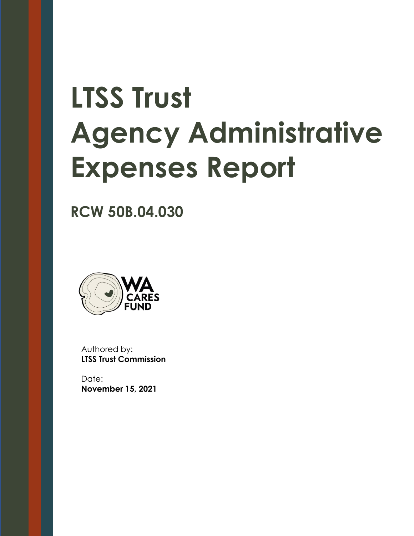# **LTSS Trust Agency Administrative Expenses Report**

**RCW 50B.04.030**



Authored by: **LTSS Trust Commission**

Date: **November 15, 2021**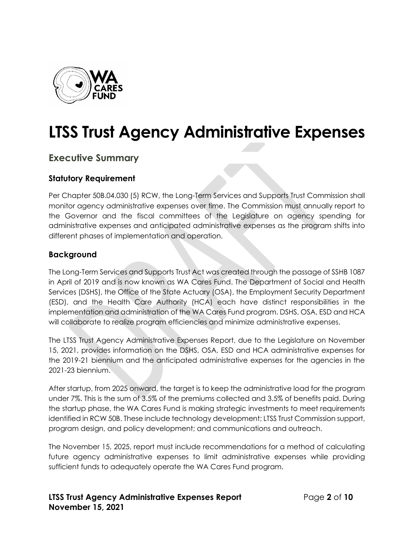

# **LTSS Trust Agency Administrative Expenses**

# **Executive Summary**

### **Statutory Requirement**

Per Chapter 50B.04.030 (5) RCW, the Long-Term Services and Supports Trust Commission shall monitor agency administrative expenses over time. The Commission must annually report to the Governor and the fiscal committees of the Legislature on agency spending for administrative expenses and anticipated administrative expenses as the program shifts into different phases of implementation and operation.

#### **Background**

The Long-Term Services and Supports Trust Act was created through the passage of SSHB 1087 in April of 2019 and is now known as WA Cares Fund. The Department of Social and Health Services (DSHS), the Office of the State Actuary (OSA), the Employment Security Department (ESD), and the Health Care Authority (HCA) each have distinct responsibilities in the implementation and administration of the WA Cares Fund program. DSHS, OSA, ESD and HCA will collaborate to realize program efficiencies and minimize administrative expenses.

The LTSS Trust Agency Administrative Expenses Report, due to the Legislature on November 15, 2021, provides information on the DSHS, OSA, ESD and HCA administrative expenses for the 2019-21 biennium and the anticipated administrative expenses for the agencies in the 2021-23 biennium.

After startup, from 2025 onward, the target is to keep the administrative load for the program under 7%. This is the sum of 3.5% of the premiums collected and 3.5% of benefits paid. During the startup phase, the WA Cares Fund is making strategic investments to meet requirements identified in RCW 50B. These include technology development; LTSS Trust Commission support, program design, and policy development; and communications and outreach.

The November 15, 2025, report must include recommendations for a method of calculating future agency administrative expenses to limit administrative expenses while providing sufficient funds to adequately operate the WA Cares Fund program.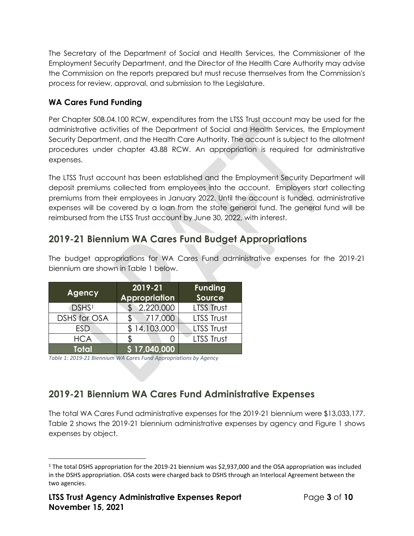The Secretary of the Department of Social and Health Services, the Commissioner of the Employment Security Department, and the Director of the Health Care Authority may advise the Commission on the reports prepared but must recuse themselves from the Commission's process for review, approval, and submission to the Legislature.

# **WA Cares Fund Funding**

Per Chapter 50B.04.100 RCW, expenditures from the LTSS Trust account may be used for the administrative activities of the Department of Social and Health Services, the Employment Security Department, and the Health Care Authority. The account is subject to the allotment procedures under chapter 43.88 RCW. An appropriation is required for administrative expenses.

The LTSS Trust account has been established and the Employment Security Department will deposit premiums collected from employees into the account. Employers start collecting premiums from their employees in January 2022. Until the account is funded, administrative expenses will be covered by a loan from the state general fund. The general fund will be reimbursed from the LTSS Trust account by June 30, 2022, with interest.

# **2019-21 Biennium WA Cares Fund Budget Appropriations**

The budget appropriations for WA Cares Fund administrative expenses for the 2019-21 biennium are shown in Table 1 below.

| Agency              | 2019-21<br>Appropriation | <b>Funding</b><br>Source |
|---------------------|--------------------------|--------------------------|
| DSHS <sup>1</sup>   | 2,220,000                | <b>LTSS Trust</b>        |
| <b>DSHS for OSA</b> | 717,000                  | LTSS Trust               |
| <b>ESD</b>          | 14,103,000               | LTSS Trust               |
| <b>HCA</b>          |                          | LTSS Trust               |
| <b>Total</b>        | 517,040,000              |                          |

*Table 1: 2019-21 Biennium WA Cares Fund Appropriations by Agency*

# **2019-21 Biennium WA Cares Fund Administrative Expenses**

The total WA Cares Fund administrative expenses for the 2019-21 biennium were \$13,033,177. Table 2 shows the 2019-21 biennium administrative expenses by agency and Figure 1 shows expenses by object.

<sup>1</sup> The total DSHS appropriation for the 2019-21 biennium was \$2,937,000 and the OSA appropriation was included in the DSHS appropriation. OSA costs were charged back to DSHS through an Interlocal Agreement between the two agencies.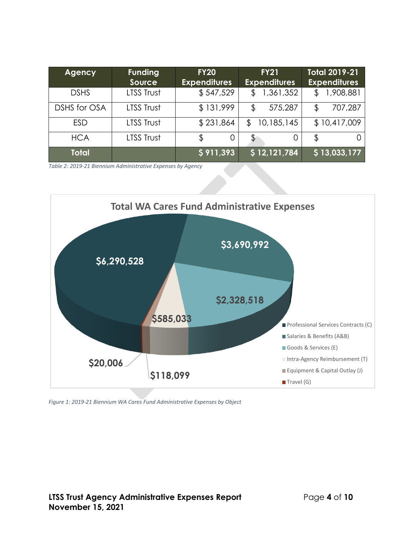| Agency       | <b>Funding</b><br><b>Source</b> | <b>FY20</b><br><b>Expenditures</b> | <b>FY21</b><br><b>Expenditures</b> | Total 2019-21<br><b>Expenditures</b> |
|--------------|---------------------------------|------------------------------------|------------------------------------|--------------------------------------|
| <b>DSHS</b>  | LTSS Trust                      | \$547,529                          | 1,361,352                          | 1,908,881                            |
| DSHS for OSA | LTSS Trust                      | \$131,999                          | 575,287<br>\$                      | 707,287                              |
| <b>ESD</b>   | LTSS Trust                      | \$231,864                          | 10,185,145<br>\$                   | \$10,417,009                         |
| <b>HCA</b>   | LTSS Trust                      | \$<br>O                            | \$<br>0                            |                                      |
| <b>Total</b> |                                 | \$911,393                          | \$12,121,784                       | \$13,033,177                         |

*Table 2: 2019-21 Biennium Administrative Expenses by Agency*



*Figure 1: 2019-21 Biennium WA Cares Fund Administrative Expenses by Object*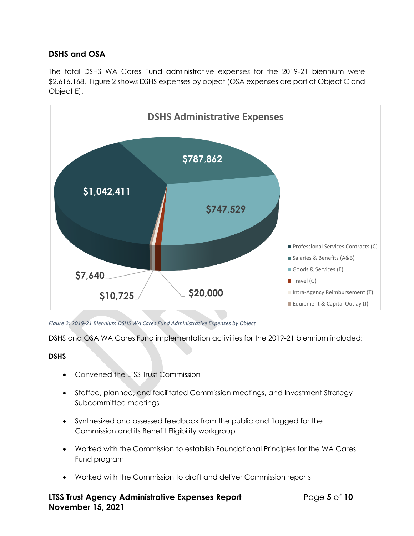# **DSHS and OSA**

The total DSHS WA Cares Fund administrative expenses for the 2019-21 biennium were \$2,616,168. Figure 2 shows DSHS expenses by object (OSA expenses are part of Object C and Object E).



*Figure 2: 2019-21 Biennium DSHS WA Cares Fund Administrative Expenses by Object*

DSHS and OSA WA Cares Fund implementation activities for the 2019-21 biennium included:

#### **DSHS**

- Convened the LTSS Trust Commission
- Staffed, planned, and facilitated Commission meetings, and Investment Strategy Subcommittee meetings
- Synthesized and assessed feedback from the public and flagged for the Commission and its Benefit Eligibility workgroup
- Worked with the Commission to establish Foundational Principles for the WA Cares Fund program
- Worked with the Commission to draft and deliver Commission reports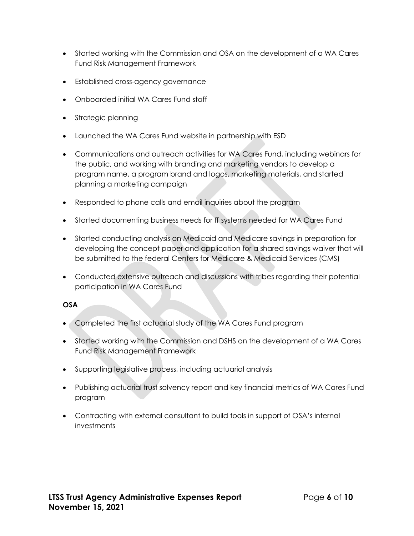- Started working with the Commission and OSA on the development of a WA Cares Fund Risk Management Framework
- Established cross-agency governance
- Onboarded initial WA Cares Fund staff
- Strategic planning
- Launched the WA Cares Fund website in partnership with ESD
- Communications and outreach activities for WA Cares Fund, including webinars for the public, and working with branding and marketing vendors to develop a program name, a program brand and logos, marketing materials, and started planning a marketing campaign
- Responded to phone calls and email inquiries about the program
- Started documenting business needs for IT systems needed for WA Cares Fund
- Started conducting analysis on Medicaid and Medicare savings in preparation for developing the concept paper and application for a shared savings waiver that will be submitted to the federal Centers for Medicare & Medicaid Services (CMS)
- Conducted extensive outreach and discussions with tribes regarding their potential participation in WA Cares Fund

#### **OSA**

- Completed the first actuarial study of the WA Cares Fund program
- Started working with the Commission and DSHS on the development of a WA Cares Fund Risk Management Framework
- Supporting legislative process, including actuarial analysis
- Publishing actuarial trust solvency report and key financial metrics of WA Cares Fund program
- Contracting with external consultant to build tools in support of OSA's internal investments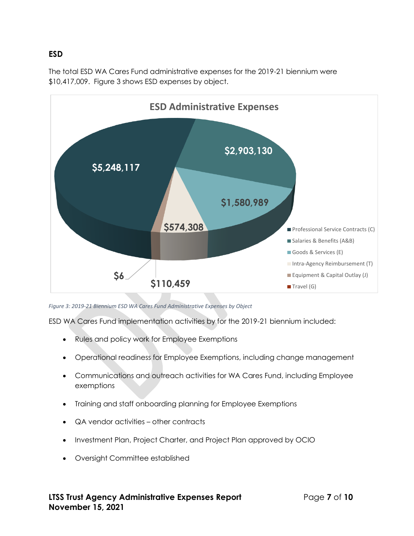#### **ESD**

The total ESD WA Cares Fund administrative expenses for the 2019-21 biennium were \$10,417,009. Figure 3 shows ESD expenses by object.



*Figure 3: 2019-21 Biennium ESD WA Cares Fund Administrative Expenses by Object*

ESD WA Cares Fund implementation activities by for the 2019-21 biennium included:

- Rules and policy work for Employee Exemptions
- Operational readiness for Employee Exemptions, including change management
- Communications and outreach activities for WA Cares Fund, including Employee exemptions
- Training and staff onboarding planning for Employee Exemptions
- QA vendor activities other contracts
- Investment Plan, Project Charter, and Project Plan approved by OCIO
- Oversight Committee established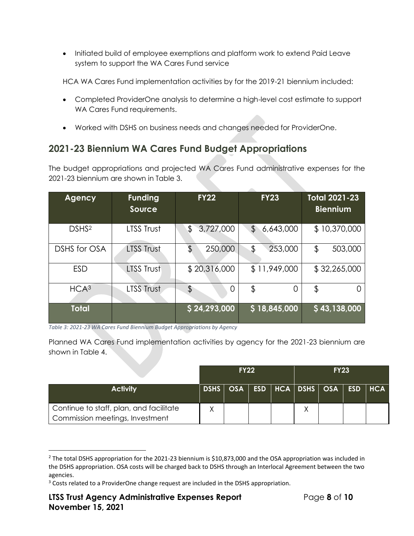• Initiated build of employee exemptions and platform work to extend Paid Leave system to support the WA Cares Fund service

HCA WA Cares Fund implementation activities by for the 2019-21 biennium included:

- Completed ProviderOne analysis to determine a high-level cost estimate to support WA Cares Fund requirements.
- Worked with DSHS on business needs and changes needed for ProviderOne.

# **2021-23 Biennium WA Cares Fund Budget Appropriations**

The budget appropriations and projected WA Cares Fund administrative expenses for the 2021-23 biennium are shown in Table 3.

| <b>Agency</b>     | <b>Funding</b><br>Source | <b>FY22</b>     | <b>FY23</b>     | <b>Total 2021-23</b><br><b>Biennium</b> |
|-------------------|--------------------------|-----------------|-----------------|-----------------------------------------|
| DSHS <sup>2</sup> | LTSS Trust               | \$<br>3,727,000 | \$<br>6,643,000 | \$10,370,000                            |
| DSHS for OSA      | <b>LTSS Trust</b>        | \$<br>250,000   | \$<br>253,000   | \$<br>503,000                           |
| <b>ESD</b>        | LTSS Trust               | \$20,316,000    | \$11,949,000    | \$32,265,000                            |
| HCA <sup>3</sup>  | <b>LTSS Trust</b>        | \$<br>$\Omega$  | \$<br>0         | \$                                      |
| <b>Total</b>      |                          | \$24,293,000    | \$18,845,000    | \$43,138,000                            |

*Table 3: 2021-23 WA Cares Fund Biennium Budget Appropriations by Agency*

Planned WA Cares Fund implementation activities by agency for the 2021-23 biennium are shown in Table 4.

|                                                                            | <b>FY22</b> |  |  | <b>FY23</b> |                                                 |  |  |  |
|----------------------------------------------------------------------------|-------------|--|--|-------------|-------------------------------------------------|--|--|--|
| <b>Activity</b>                                                            |             |  |  |             | DSHS   OSA   ESD   HCA   DSHS   OSA   ESD   HCA |  |  |  |
| Continue to staff, plan, and facilitate<br>Commission meetings, Investment |             |  |  |             |                                                 |  |  |  |

<sup>&</sup>lt;sup>2</sup> The total DSHS appropriation for the 2021-23 biennium is \$10,873,000 and the OSA appropriation was included in the DSHS appropriation. OSA costs will be charged back to DSHS through an Interlocal Agreement between the two agencies.

<sup>&</sup>lt;sup>3</sup> Costs related to a ProviderOne change request are included in the DSHS appropriation.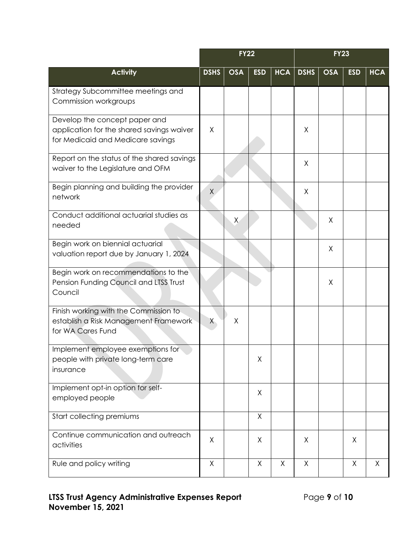|                                                                                                                 | <b>FY22</b> |            |            |            | <b>FY23</b> |            |            |            |
|-----------------------------------------------------------------------------------------------------------------|-------------|------------|------------|------------|-------------|------------|------------|------------|
| <b>Activity</b>                                                                                                 | <b>DSHS</b> | <b>OSA</b> | <b>ESD</b> | <b>HCA</b> | <b>DSHS</b> | <b>OSA</b> | <b>ESD</b> | <b>HCA</b> |
| Strategy Subcommittee meetings and<br>Commission workgroups                                                     |             |            |            |            |             |            |            |            |
| Develop the concept paper and<br>application for the shared savings waiver<br>for Medicaid and Medicare savings | X           |            |            |            | χ           |            |            |            |
| Report on the status of the shared savings<br>waiver to the Legislature and OFM                                 |             |            |            |            | X           |            |            |            |
| Begin planning and building the provider<br>network                                                             | X           |            |            |            | Χ           |            |            |            |
| Conduct additional actuarial studies as<br>needed                                                               |             | $\times$   |            |            |             | X          |            |            |
| Begin work on biennial actuarial<br>valuation report due by January 1, 2024                                     |             |            |            |            |             | X          |            |            |
| Begin work on recommendations to the<br>Pension Funding Council and LTSS Trust<br>Council                       |             |            |            |            |             | X          |            |            |
| Finish working with the Commission to<br>establish a Risk Management Framework<br>for WA Cares Fund             | X           | Χ          |            |            |             |            |            |            |
| Implement employee exemptions for<br>people with private long-term care<br>insurance                            |             |            | χ          |            |             |            |            |            |
| Implement opt-in option for self-<br>employed people                                                            |             |            | X          |            |             |            |            |            |
| Start collecting premiums                                                                                       |             |            | X          |            |             |            |            |            |
| Continue communication and outreach<br>activities                                                               | X           |            | X          |            | X           |            | X          |            |
| Rule and policy writing                                                                                         | Χ           |            | X          | X          | X           |            | X          | X          |